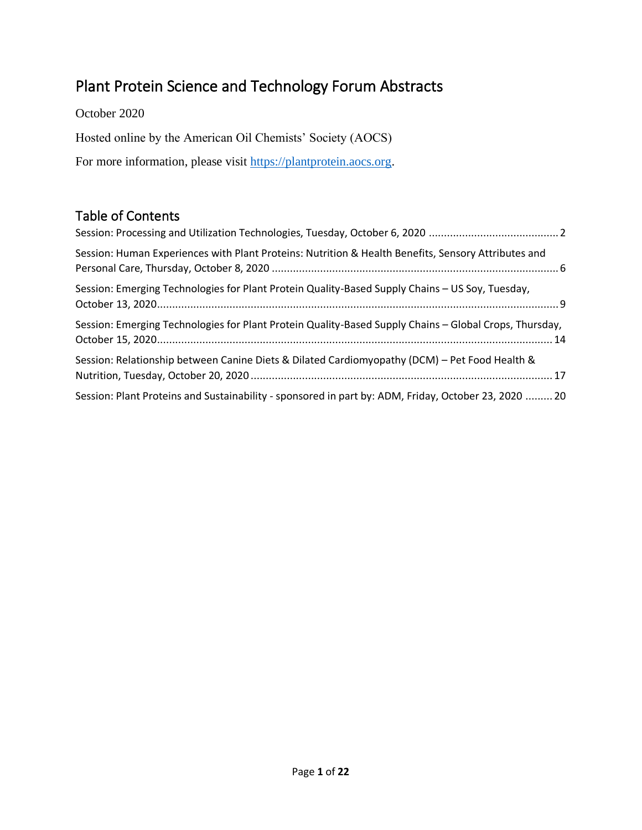# Plant Protein Science and Technology Forum Abstracts

October 2020 Hosted online by the American Oil Chemists' Society (AOCS) For more information, please visit [https://plantprotein.aocs.org.](https://plantprotein.aocs.org/)

### Table of Contents

| Session: Human Experiences with Plant Proteins: Nutrition & Health Benefits, Sensory Attributes and    |
|--------------------------------------------------------------------------------------------------------|
| Session: Emerging Technologies for Plant Protein Quality-Based Supply Chains - US Soy, Tuesday,        |
| Session: Emerging Technologies for Plant Protein Quality-Based Supply Chains - Global Crops, Thursday, |
| Session: Relationship between Canine Diets & Dilated Cardiomyopathy (DCM) - Pet Food Health &          |
| Session: Plant Proteins and Sustainability - sponsored in part by: ADM, Friday, October 23, 2020  20   |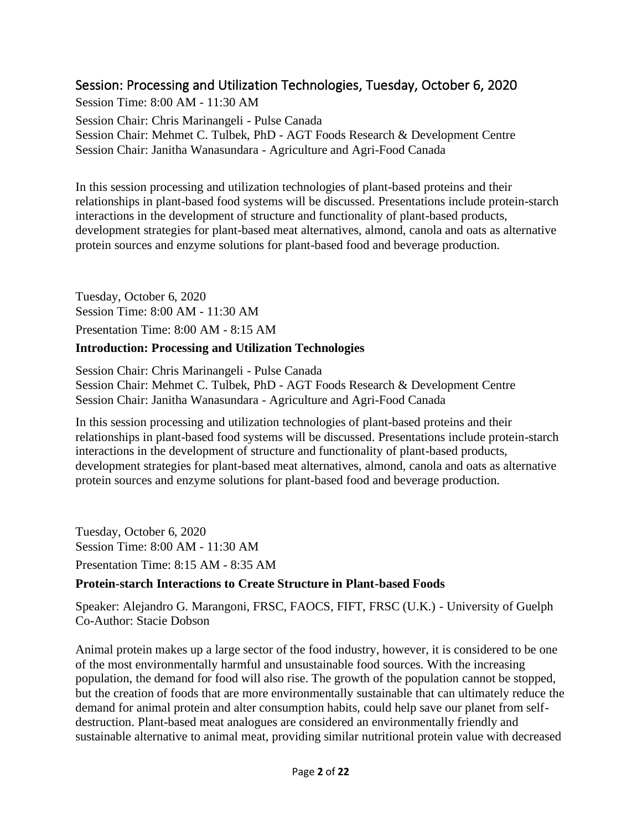### <span id="page-1-0"></span>Session: Processing and Utilization Technologies, Tuesday, October 6, 2020

Session Time: 8:00 AM - 11:30 AM Session Chair: Chris Marinangeli - Pulse Canada Session Chair: Mehmet C. Tulbek, PhD - AGT Foods Research & Development Centre Session Chair: Janitha Wanasundara - Agriculture and Agri-Food Canada

In this session processing and utilization technologies of plant-based proteins and their relationships in plant-based food systems will be discussed. Presentations include protein-starch interactions in the development of structure and functionality of plant-based products, development strategies for plant-based meat alternatives, almond, canola and oats as alternative protein sources and enzyme solutions for plant-based food and beverage production.

Tuesday, October 6, 2020 Session Time: 8:00 AM - 11:30 AM Presentation Time: 8:00 AM - 8:15 AM

#### **Introduction: Processing and Utilization Technologies**

Session Chair: Chris Marinangeli - Pulse Canada Session Chair: Mehmet C. Tulbek, PhD - AGT Foods Research & Development Centre Session Chair: Janitha Wanasundara - Agriculture and Agri-Food Canada

In this session processing and utilization technologies of plant-based proteins and their relationships in plant-based food systems will be discussed. Presentations include protein-starch interactions in the development of structure and functionality of plant-based products, development strategies for plant-based meat alternatives, almond, canola and oats as alternative protein sources and enzyme solutions for plant-based food and beverage production.

Tuesday, October 6, 2020 Session Time: 8:00 AM - 11:30 AM Presentation Time: 8:15 AM - 8:35 AM

#### **Protein-starch Interactions to Create Structure in Plant-based Foods**

Speaker: Alejandro G. Marangoni, FRSC, FAOCS, FIFT, FRSC (U.K.) - University of Guelph Co-Author: Stacie Dobson

Animal protein makes up a large sector of the food industry, however, it is considered to be one of the most environmentally harmful and unsustainable food sources. With the increasing population, the demand for food will also rise. The growth of the population cannot be stopped, but the creation of foods that are more environmentally sustainable that can ultimately reduce the demand for animal protein and alter consumption habits, could help save our planet from selfdestruction. Plant-based meat analogues are considered an environmentally friendly and sustainable alternative to animal meat, providing similar nutritional protein value with decreased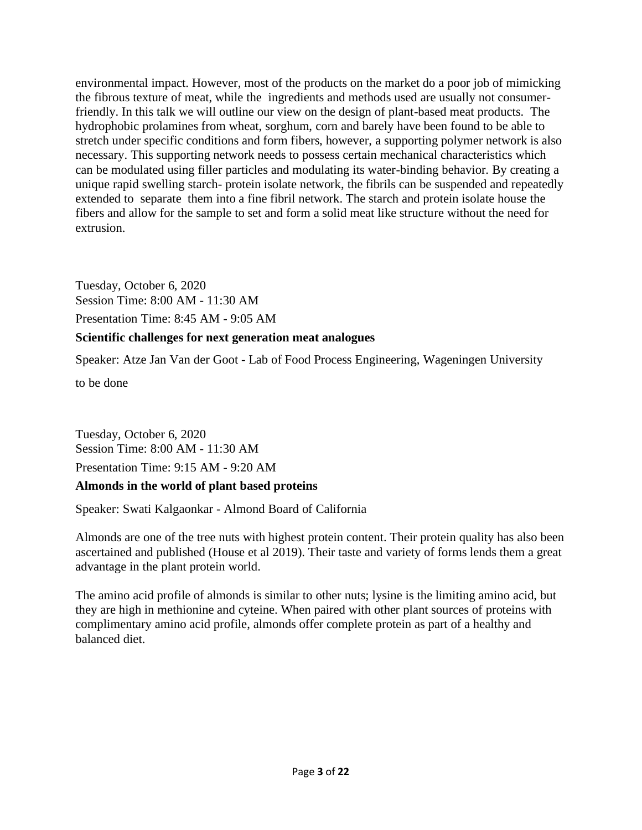environmental impact. However, most of the products on the market do a poor job of mimicking the fibrous texture of meat, while the ingredients and methods used are usually not consumerfriendly. In this talk we will outline our view on the design of plant-based meat products. The hydrophobic prolamines from wheat, sorghum, corn and barely have been found to be able to stretch under specific conditions and form fibers, however, a supporting polymer network is also necessary. This supporting network needs to possess certain mechanical characteristics which can be modulated using filler particles and modulating its water-binding behavior. By creating a unique rapid swelling starch- protein isolate network, the fibrils can be suspended and repeatedly extended to separate them into a fine fibril network. The starch and protein isolate house the fibers and allow for the sample to set and form a solid meat like structure without the need for extrusion.

Tuesday, October 6, 2020 Session Time: 8:00 AM - 11:30 AM

Presentation Time: 8:45 AM - 9:05 AM

#### **Scientific challenges for next generation meat analogues**

Speaker: Atze Jan Van der Goot - Lab of Food Process Engineering, Wageningen University

to be done

Tuesday, October 6, 2020 Session Time: 8:00 AM - 11:30 AM Presentation Time: 9:15 AM - 9:20 AM

#### **Almonds in the world of plant based proteins**

Speaker: Swati Kalgaonkar - Almond Board of California

Almonds are one of the tree nuts with highest protein content. Their protein quality has also been ascertained and published (House et al 2019). Their taste and variety of forms lends them a great advantage in the plant protein world.

The amino acid profile of almonds is similar to other nuts; lysine is the limiting amino acid, but they are high in methionine and cyteine. When paired with other plant sources of proteins with complimentary amino acid profile, almonds offer complete protein as part of a healthy and balanced diet.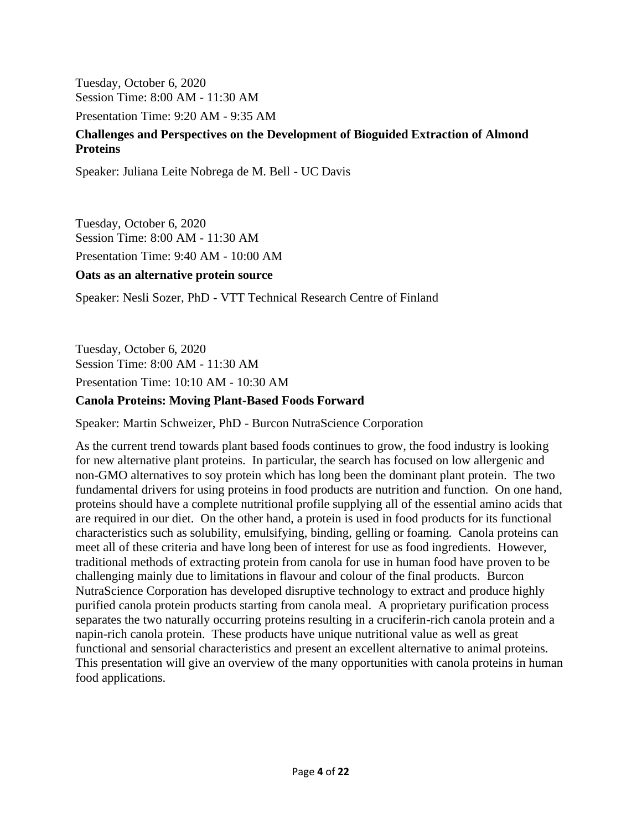Tuesday, October 6, 2020 Session Time: 8:00 AM - 11:30 AM

Presentation Time: 9:20 AM - 9:35 AM

#### **Challenges and Perspectives on the Development of Bioguided Extraction of Almond Proteins**

Speaker: Juliana Leite Nobrega de M. Bell - UC Davis

Tuesday, October 6, 2020 Session Time: 8:00 AM - 11:30 AM Presentation Time: 9:40 AM - 10:00 AM

#### **Oats as an alternative protein source**

Speaker: Nesli Sozer, PhD - VTT Technical Research Centre of Finland

Tuesday, October 6, 2020 Session Time: 8:00 AM - 11:30 AM

Presentation Time: 10:10 AM - 10:30 AM

#### **Canola Proteins: Moving Plant-Based Foods Forward**

Speaker: Martin Schweizer, PhD - Burcon NutraScience Corporation

As the current trend towards plant based foods continues to grow, the food industry is looking for new alternative plant proteins. In particular, the search has focused on low allergenic and non-GMO alternatives to soy protein which has long been the dominant plant protein. The two fundamental drivers for using proteins in food products are nutrition and function. On one hand, proteins should have a complete nutritional profile supplying all of the essential amino acids that are required in our diet. On the other hand, a protein is used in food products for its functional characteristics such as solubility, emulsifying, binding, gelling or foaming. Canola proteins can meet all of these criteria and have long been of interest for use as food ingredients. However, traditional methods of extracting protein from canola for use in human food have proven to be challenging mainly due to limitations in flavour and colour of the final products. Burcon NutraScience Corporation has developed disruptive technology to extract and produce highly purified canola protein products starting from canola meal. A proprietary purification process separates the two naturally occurring proteins resulting in a cruciferin-rich canola protein and a napin-rich canola protein. These products have unique nutritional value as well as great functional and sensorial characteristics and present an excellent alternative to animal proteins. This presentation will give an overview of the many opportunities with canola proteins in human food applications.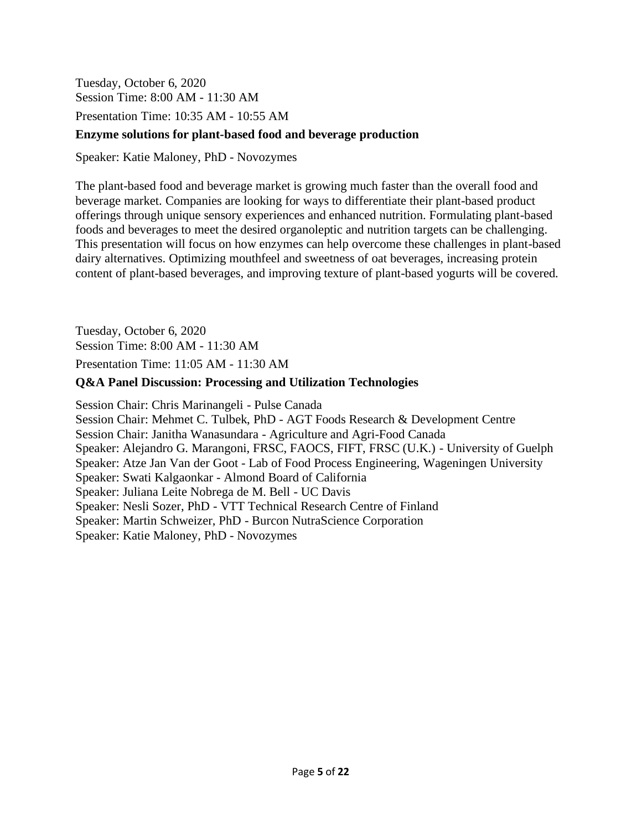Tuesday, October 6, 2020 Session Time: 8:00 AM - 11:30 AM

Presentation Time: 10:35 AM - 10:55 AM

#### **Enzyme solutions for plant-based food and beverage production**

Speaker: Katie Maloney, PhD - Novozymes

The plant-based food and beverage market is growing much faster than the overall food and beverage market. Companies are looking for ways to differentiate their plant-based product offerings through unique sensory experiences and enhanced nutrition. Formulating plant-based foods and beverages to meet the desired organoleptic and nutrition targets can be challenging. This presentation will focus on how enzymes can help overcome these challenges in plant-based dairy alternatives. Optimizing mouthfeel and sweetness of oat beverages, increasing protein content of plant-based beverages, and improving texture of plant-based yogurts will be covered.

Tuesday, October 6, 2020 Session Time: 8:00 AM - 11:30 AM Presentation Time: 11:05 AM - 11:30 AM

#### **Q&A Panel Discussion: Processing and Utilization Technologies**

Session Chair: Chris Marinangeli - Pulse Canada Session Chair: Mehmet C. Tulbek, PhD - AGT Foods Research & Development Centre Session Chair: Janitha Wanasundara - Agriculture and Agri-Food Canada Speaker: Alejandro G. Marangoni, FRSC, FAOCS, FIFT, FRSC (U.K.) - University of Guelph Speaker: Atze Jan Van der Goot - Lab of Food Process Engineering, Wageningen University Speaker: Swati Kalgaonkar - Almond Board of California Speaker: Juliana Leite Nobrega de M. Bell - UC Davis Speaker: Nesli Sozer, PhD - VTT Technical Research Centre of Finland Speaker: Martin Schweizer, PhD - Burcon NutraScience Corporation Speaker: Katie Maloney, PhD - Novozymes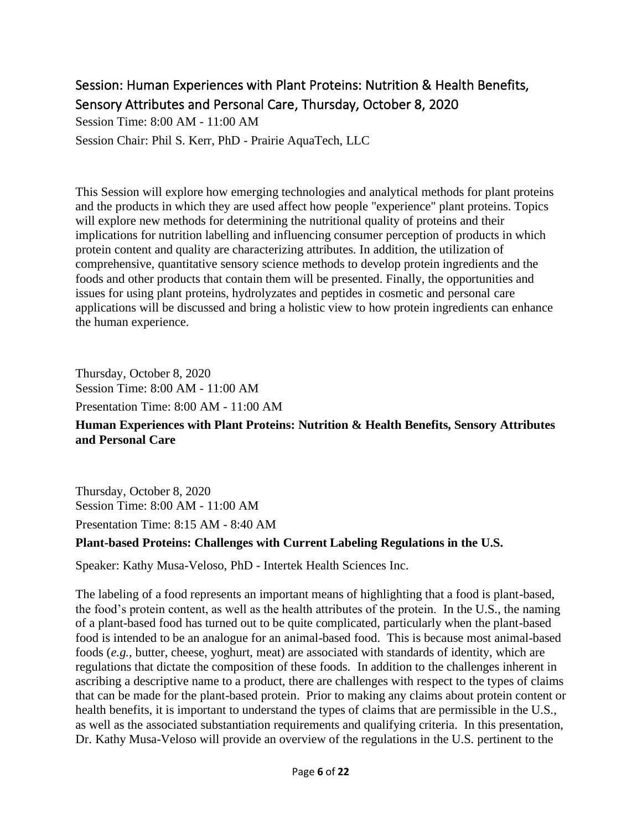### <span id="page-5-0"></span>Session: Human Experiences with Plant Proteins: Nutrition & Health Benefits, Sensory Attributes and Personal Care, Thursday, October 8, 2020

Session Time: 8:00 AM - 11:00 AM

Session Chair: Phil S. Kerr, PhD - Prairie AquaTech, LLC

This Session will explore how emerging technologies and analytical methods for plant proteins and the products in which they are used affect how people "experience" plant proteins. Topics will explore new methods for determining the nutritional quality of proteins and their implications for nutrition labelling and influencing consumer perception of products in which protein content and quality are characterizing attributes. In addition, the utilization of comprehensive, quantitative sensory science methods to develop protein ingredients and the foods and other products that contain them will be presented. Finally, the opportunities and issues for using plant proteins, hydrolyzates and peptides in cosmetic and personal care applications will be discussed and bring a holistic view to how protein ingredients can enhance the human experience.

Thursday, October 8, 2020 Session Time: 8:00 AM - 11:00 AM

Presentation Time: 8:00 AM - 11:00 AM

### **Human Experiences with Plant Proteins: Nutrition & Health Benefits, Sensory Attributes and Personal Care**

Thursday, October 8, 2020 Session Time: 8:00 AM - 11:00 AM

Presentation Time: 8:15 AM - 8:40 AM

#### **Plant-based Proteins: Challenges with Current Labeling Regulations in the U.S.**

Speaker: Kathy Musa-Veloso, PhD - Intertek Health Sciences Inc.

The labeling of a food represents an important means of highlighting that a food is plant-based, the food's protein content, as well as the health attributes of the protein. In the U.S., the naming of a plant-based food has turned out to be quite complicated, particularly when the plant-based food is intended to be an analogue for an animal-based food. This is because most animal-based foods (*e.g.,* butter, cheese, yoghurt, meat) are associated with standards of identity, which are regulations that dictate the composition of these foods. In addition to the challenges inherent in ascribing a descriptive name to a product, there are challenges with respect to the types of claims that can be made for the plant-based protein. Prior to making any claims about protein content or health benefits, it is important to understand the types of claims that are permissible in the U.S., as well as the associated substantiation requirements and qualifying criteria. In this presentation, Dr. Kathy Musa-Veloso will provide an overview of the regulations in the U.S. pertinent to the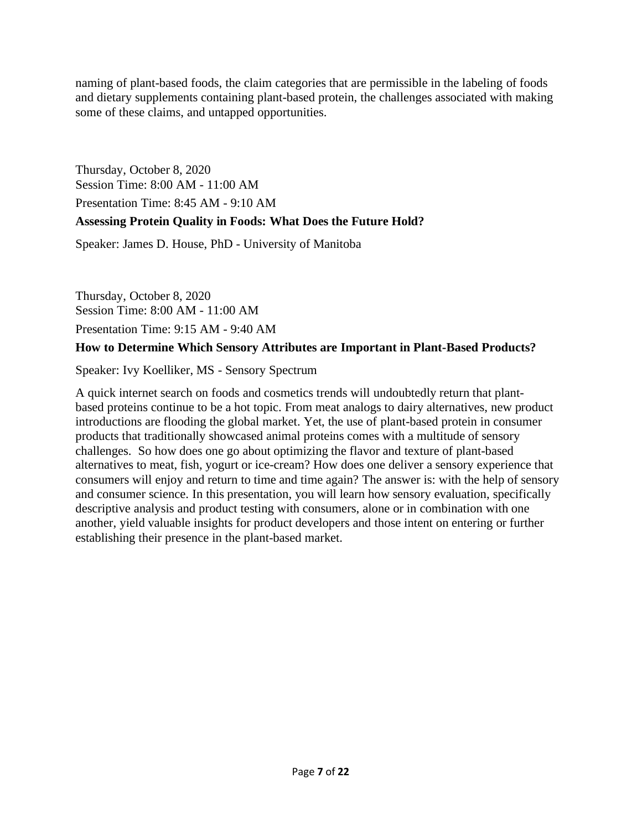naming of plant-based foods, the claim categories that are permissible in the labeling of foods and dietary supplements containing plant-based protein, the challenges associated with making some of these claims, and untapped opportunities.

Thursday, October 8, 2020 Session Time: 8:00 AM - 11:00 AM Presentation Time: 8:45 AM - 9:10 AM

#### **Assessing Protein Quality in Foods: What Does the Future Hold?**

Speaker: James D. House, PhD - University of Manitoba

Thursday, October 8, 2020 Session Time: 8:00 AM - 11:00 AM

Presentation Time: 9:15 AM - 9:40 AM

#### **How to Determine Which Sensory Attributes are Important in Plant-Based Products?**

Speaker: Ivy Koelliker, MS - Sensory Spectrum

A quick internet search on foods and cosmetics trends will undoubtedly return that plantbased proteins continue to be a hot topic. From meat analogs to dairy alternatives, new product introductions are flooding the global market. Yet, the use of plant-based protein in consumer products that traditionally showcased animal proteins comes with a multitude of sensory challenges. So how does one go about optimizing the flavor and texture of plant-based alternatives to meat, fish, yogurt or ice-cream? How does one deliver a sensory experience that consumers will enjoy and return to time and time again? The answer is: with the help of sensory and consumer science. In this presentation, you will learn how sensory evaluation, specifically descriptive analysis and product testing with consumers, alone or in combination with one another, yield valuable insights for product developers and those intent on entering or further establishing their presence in the plant-based market.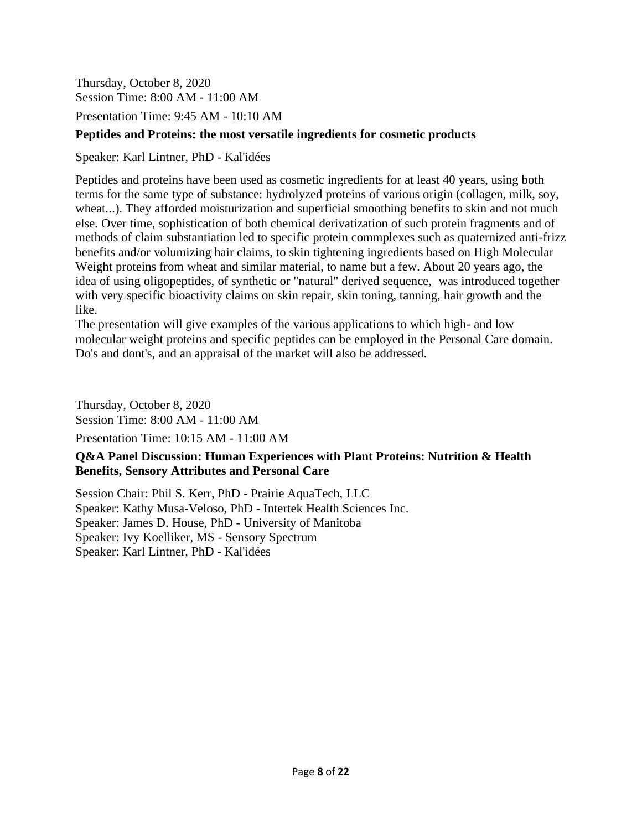Thursday, October 8, 2020 Session Time: 8:00 AM - 11:00 AM

Presentation Time: 9:45 AM - 10:10 AM

#### **Peptides and Proteins: the most versatile ingredients for cosmetic products**

Speaker: Karl Lintner, PhD - Kal'idées

Peptides and proteins have been used as cosmetic ingredients for at least 40 years, using both terms for the same type of substance: hydrolyzed proteins of various origin (collagen, milk, soy, wheat...). They afforded moisturization and superficial smoothing benefits to skin and not much else. Over time, sophistication of both chemical derivatization of such protein fragments and of methods of claim substantiation led to specific protein commplexes such as quaternized anti-frizz benefits and/or volumizing hair claims, to skin tightening ingredients based on High Molecular Weight proteins from wheat and similar material, to name but a few. About 20 years ago, the idea of using oligopeptides, of synthetic or "natural" derived sequence, was introduced together with very specific bioactivity claims on skin repair, skin toning, tanning, hair growth and the like.

The presentation will give examples of the various applications to which high- and low molecular weight proteins and specific peptides can be employed in the Personal Care domain. Do's and dont's, and an appraisal of the market will also be addressed.

Thursday, October 8, 2020 Session Time: 8:00 AM - 11:00 AM Presentation Time: 10:15 AM - 11:00 AM

#### **Q&A Panel Discussion: Human Experiences with Plant Proteins: Nutrition & Health Benefits, Sensory Attributes and Personal Care**

Session Chair: Phil S. Kerr, PhD - Prairie AquaTech, LLC Speaker: Kathy Musa-Veloso, PhD - Intertek Health Sciences Inc. Speaker: James D. House, PhD - University of Manitoba Speaker: Ivy Koelliker, MS - Sensory Spectrum Speaker: Karl Lintner, PhD - Kal'idées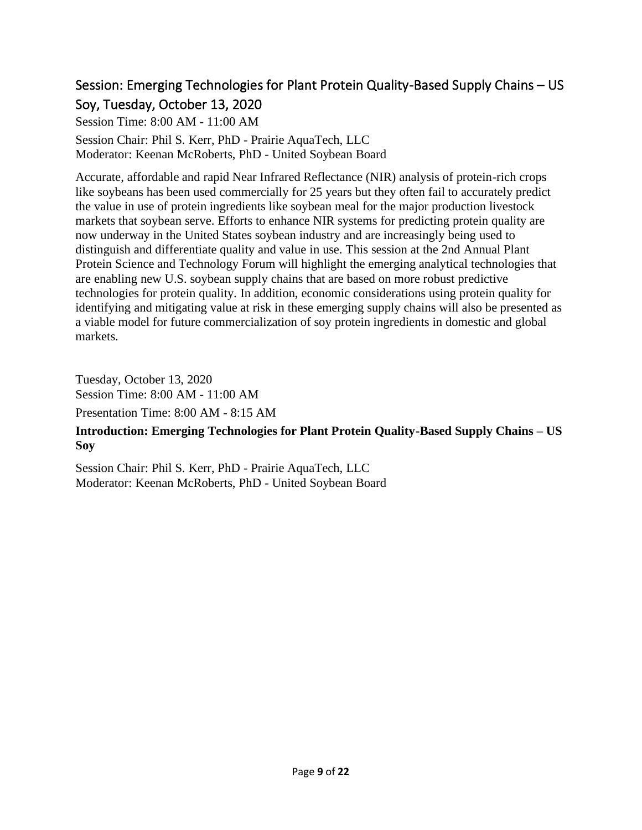# <span id="page-8-0"></span>Session: Emerging Technologies for Plant Protein Quality-Based Supply Chains – US Soy, Tuesday, October 13, 2020

Session Time: 8:00 AM - 11:00 AM

Session Chair: Phil S. Kerr, PhD - Prairie AquaTech, LLC Moderator: Keenan McRoberts, PhD - United Soybean Board

Accurate, affordable and rapid Near Infrared Reflectance (NIR) analysis of protein-rich crops like soybeans has been used commercially for 25 years but they often fail to accurately predict the value in use of protein ingredients like soybean meal for the major production livestock markets that soybean serve. Efforts to enhance NIR systems for predicting protein quality are now underway in the United States soybean industry and are increasingly being used to distinguish and differentiate quality and value in use. This session at the 2nd Annual Plant Protein Science and Technology Forum will highlight the emerging analytical technologies that are enabling new U.S. soybean supply chains that are based on more robust predictive technologies for protein quality. In addition, economic considerations using protein quality for identifying and mitigating value at risk in these emerging supply chains will also be presented as a viable model for future commercialization of soy protein ingredients in domestic and global markets.

Tuesday, October 13, 2020 Session Time: 8:00 AM - 11:00 AM

Presentation Time: 8:00 AM - 8:15 AM

#### **Introduction: Emerging Technologies for Plant Protein Quality-Based Supply Chains – US Soy**

Session Chair: Phil S. Kerr, PhD - Prairie AquaTech, LLC Moderator: Keenan McRoberts, PhD - United Soybean Board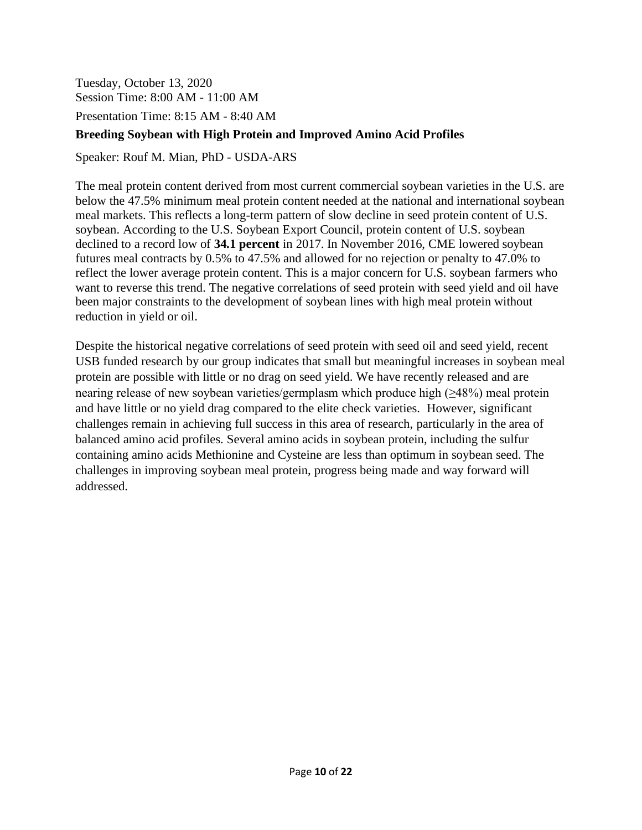Tuesday, October 13, 2020 Session Time: 8:00 AM - 11:00 AM

Presentation Time: 8:15 AM - 8:40 AM

#### **Breeding Soybean with High Protein and Improved Amino Acid Profiles**

Speaker: Rouf M. Mian, PhD - USDA-ARS

The meal protein content derived from most current commercial soybean varieties in the U.S. are below the 47.5% minimum meal protein content needed at the national and international soybean meal markets. This reflects a long-term pattern of slow decline in seed protein content of U.S. soybean. According to the U.S. Soybean Export Council, protein content of U.S. soybean declined to a record low of **34.1 percent** in 2017. In November 2016, CME lowered soybean futures meal contracts by 0.5% to 47.5% and allowed for no rejection or penalty to 47.0% to reflect the lower average protein content. This is a major concern for U.S. soybean farmers who want to reverse this trend. The negative correlations of seed protein with seed yield and oil have been major constraints to the development of soybean lines with high meal protein without reduction in yield or oil.

Despite the historical negative correlations of seed protein with seed oil and seed yield, recent USB funded research by our group indicates that small but meaningful increases in soybean meal protein are possible with little or no drag on seed yield. We have recently released and are nearing release of new soybean varieties/germplasm which produce high  $(\geq 48\%)$  meal protein and have little or no yield drag compared to the elite check varieties. However, significant challenges remain in achieving full success in this area of research, particularly in the area of balanced amino acid profiles. Several amino acids in soybean protein, including the sulfur containing amino acids Methionine and Cysteine are less than optimum in soybean seed. The challenges in improving soybean meal protein, progress being made and way forward will addressed.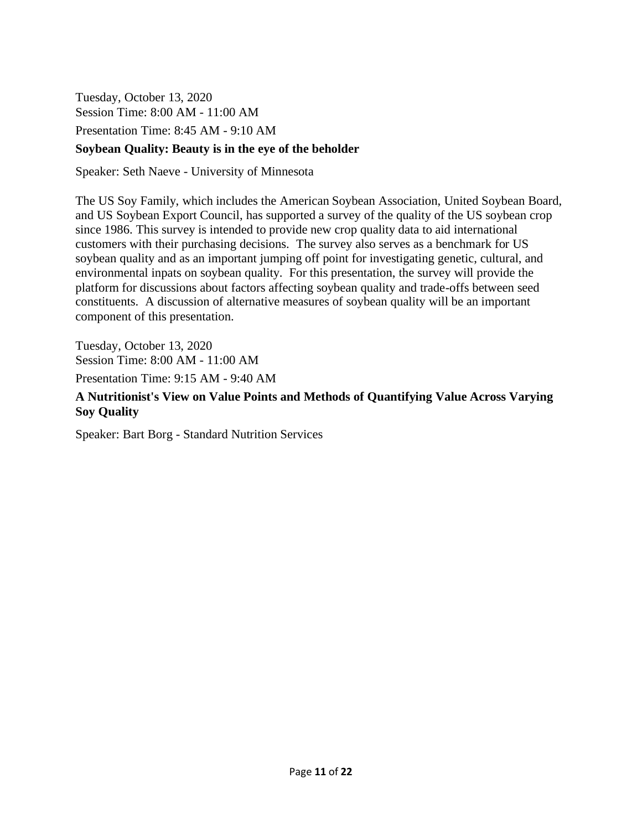Tuesday, October 13, 2020 Session Time: 8:00 AM - 11:00 AM Presentation Time: 8:45 AM - 9:10 AM

#### **Soybean Quality: Beauty is in the eye of the beholder**

Speaker: Seth Naeve - University of Minnesota

The US Soy Family, which includes the American Soybean Association, United Soybean Board, and US Soybean Export Council, has supported a survey of the quality of the US soybean crop since 1986. This survey is intended to provide new crop quality data to aid international customers with their purchasing decisions. The survey also serves as a benchmark for US soybean quality and as an important jumping off point for investigating genetic, cultural, and environmental inpats on soybean quality. For this presentation, the survey will provide the platform for discussions about factors affecting soybean quality and trade-offs between seed constituents. A discussion of alternative measures of soybean quality will be an important component of this presentation.

Tuesday, October 13, 2020 Session Time: 8:00 AM - 11:00 AM Presentation Time: 9:15 AM - 9:40 AM

#### **A Nutritionist's View on Value Points and Methods of Quantifying Value Across Varying Soy Quality**

Speaker: Bart Borg - Standard Nutrition Services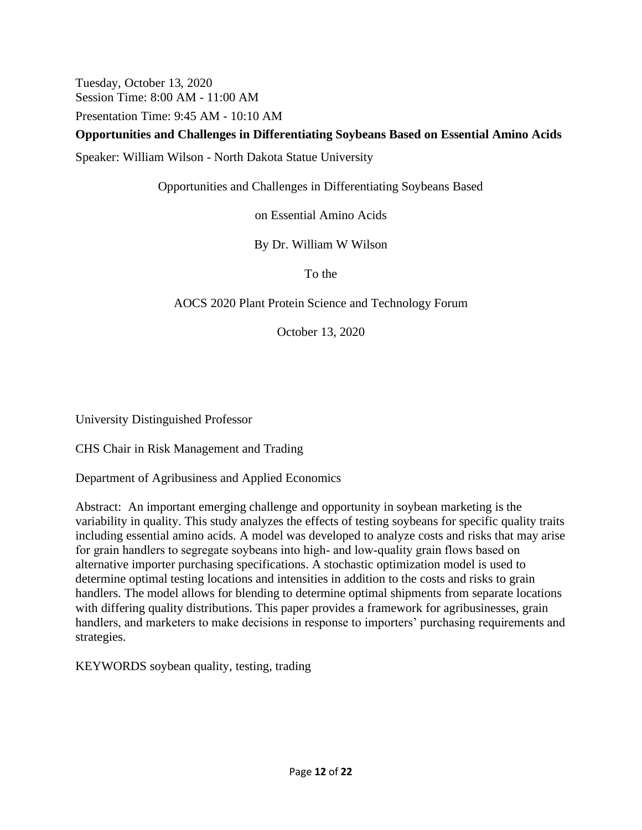Tuesday, October 13, 2020 Session Time: 8:00 AM - 11:00 AM

Presentation Time: 9:45 AM - 10:10 AM

#### **Opportunities and Challenges in Differentiating Soybeans Based on Essential Amino Acids**

Speaker: William Wilson - North Dakota Statue University

Opportunities and Challenges in Differentiating Soybeans Based

on Essential Amino Acids

By Dr. William W Wilson

To the

#### AOCS 2020 Plant Protein Science and Technology Forum

October 13, 2020

University Distinguished Professor

CHS Chair in Risk Management and Trading

Department of Agribusiness and Applied Economics

Abstract: An important emerging challenge and opportunity in soybean marketing is the variability in quality. This study analyzes the effects of testing soybeans for specific quality traits including essential amino acids. A model was developed to analyze costs and risks that may arise for grain handlers to segregate soybeans into high- and low-quality grain flows based on alternative importer purchasing specifications. A stochastic optimization model is used to determine optimal testing locations and intensities in addition to the costs and risks to grain handlers. The model allows for blending to determine optimal shipments from separate locations with differing quality distributions. This paper provides a framework for agribusinesses, grain handlers, and marketers to make decisions in response to importers' purchasing requirements and strategies.

KEYWORDS soybean quality, testing, trading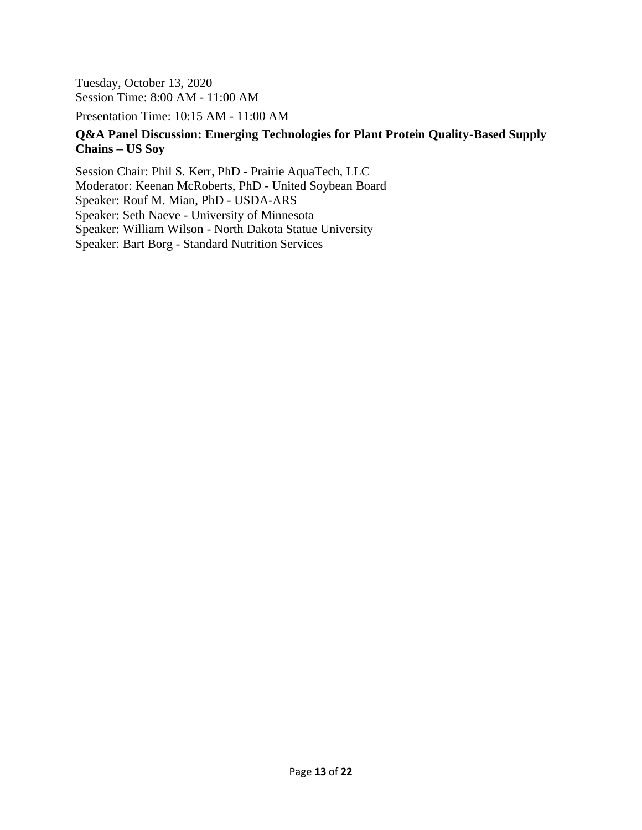Tuesday, October 13, 2020 Session Time: 8:00 AM - 11:00 AM

Presentation Time: 10:15 AM - 11:00 AM

#### **Q&A Panel Discussion: Emerging Technologies for Plant Protein Quality-Based Supply Chains – US Soy**

Session Chair: Phil S. Kerr, PhD - Prairie AquaTech, LLC Moderator: Keenan McRoberts, PhD - United Soybean Board Speaker: Rouf M. Mian, PhD - USDA-ARS Speaker: Seth Naeve - University of Minnesota Speaker: William Wilson - North Dakota Statue University Speaker: Bart Borg - Standard Nutrition Services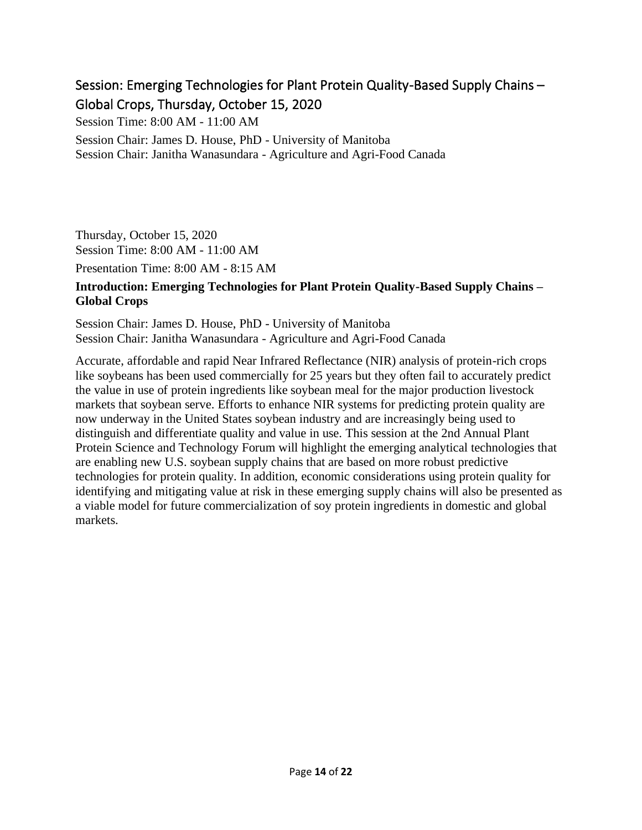# <span id="page-13-0"></span>Session: Emerging Technologies for Plant Protein Quality-Based Supply Chains – Global Crops, Thursday, October 15, 2020

Session Time: 8:00 AM - 11:00 AM

Session Chair: James D. House, PhD - University of Manitoba Session Chair: Janitha Wanasundara - Agriculture and Agri-Food Canada

Thursday, October 15, 2020 Session Time: 8:00 AM - 11:00 AM

Presentation Time: 8:00 AM - 8:15 AM

#### **Introduction: Emerging Technologies for Plant Protein Quality-Based Supply Chains – Global Crops**

Session Chair: James D. House, PhD - University of Manitoba Session Chair: Janitha Wanasundara - Agriculture and Agri-Food Canada

Accurate, affordable and rapid Near Infrared Reflectance (NIR) analysis of protein-rich crops like soybeans has been used commercially for 25 years but they often fail to accurately predict the value in use of protein ingredients like soybean meal for the major production livestock markets that soybean serve. Efforts to enhance NIR systems for predicting protein quality are now underway in the United States soybean industry and are increasingly being used to distinguish and differentiate quality and value in use. This session at the 2nd Annual Plant Protein Science and Technology Forum will highlight the emerging analytical technologies that are enabling new U.S. soybean supply chains that are based on more robust predictive technologies for protein quality. In addition, economic considerations using protein quality for identifying and mitigating value at risk in these emerging supply chains will also be presented as a viable model for future commercialization of soy protein ingredients in domestic and global markets.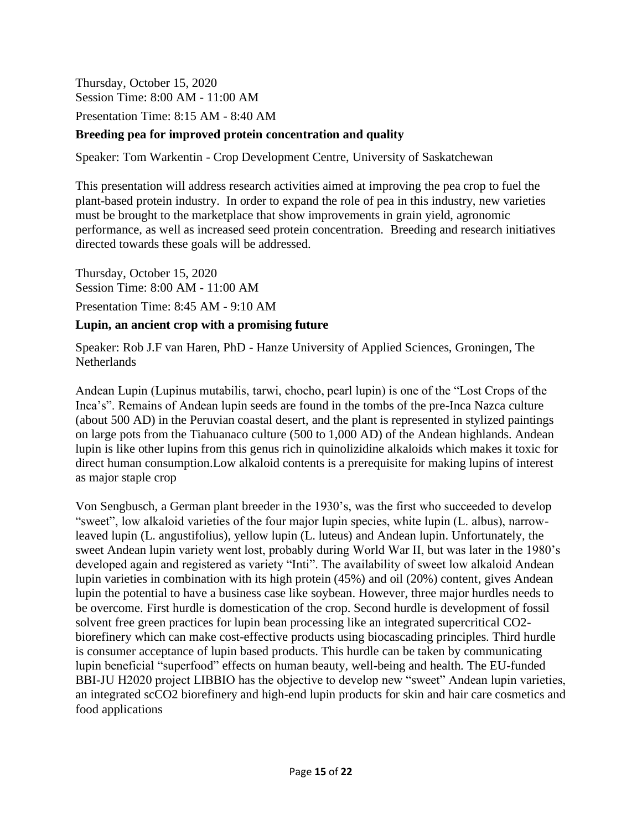Thursday, October 15, 2020 Session Time: 8:00 AM - 11:00 AM

Presentation Time: 8:15 AM - 8:40 AM

#### **Breeding pea for improved protein concentration and quality**

Speaker: Tom Warkentin - Crop Development Centre, University of Saskatchewan

This presentation will address research activities aimed at improving the pea crop to fuel the plant-based protein industry. In order to expand the role of pea in this industry, new varieties must be brought to the marketplace that show improvements in grain yield, agronomic performance, as well as increased seed protein concentration. Breeding and research initiatives directed towards these goals will be addressed.

Thursday, October 15, 2020 Session Time: 8:00 AM - 11:00 AM Presentation Time: 8:45 AM - 9:10 AM

#### **Lupin, an ancient crop with a promising future**

Speaker: Rob J.F van Haren, PhD - Hanze University of Applied Sciences, Groningen, The **Netherlands** 

Andean Lupin (Lupinus mutabilis, tarwi, chocho, pearl lupin) is one of the "Lost Crops of the Inca's". Remains of Andean lupin seeds are found in the tombs of the pre-Inca Nazca culture (about 500 AD) in the Peruvian coastal desert, and the plant is represented in stylized paintings on large pots from the Tiahuanaco culture (500 to 1,000 AD) of the Andean highlands. Andean lupin is like other lupins from this genus rich in quinolizidine alkaloids which makes it toxic for direct human consumption.Low alkaloid contents is a prerequisite for making lupins of interest as major staple crop

Von Sengbusch, a German plant breeder in the 1930's, was the first who succeeded to develop "sweet", low alkaloid varieties of the four major lupin species, white lupin (L. albus), narrowleaved lupin (L. angustifolius), yellow lupin (L. luteus) and Andean lupin. Unfortunately, the sweet Andean lupin variety went lost, probably during World War II, but was later in the 1980's developed again and registered as variety "Inti". The availability of sweet low alkaloid Andean lupin varieties in combination with its high protein (45%) and oil (20%) content, gives Andean lupin the potential to have a business case like soybean. However, three major hurdles needs to be overcome. First hurdle is domestication of the crop. Second hurdle is development of fossil solvent free green practices for lupin bean processing like an integrated supercritical CO2 biorefinery which can make cost-effective products using biocascading principles. Third hurdle is consumer acceptance of lupin based products. This hurdle can be taken by communicating lupin beneficial "superfood" effects on human beauty, well-being and health. The EU-funded BBI-JU H2020 project LIBBIO has the objective to develop new "sweet" Andean lupin varieties, an integrated scCO2 biorefinery and high-end lupin products for skin and hair care cosmetics and food applications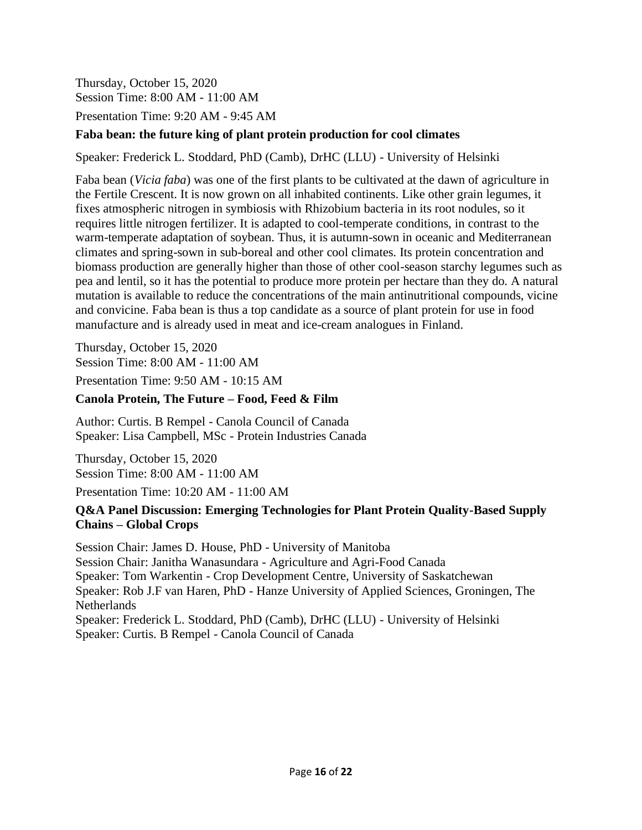Thursday, October 15, 2020 Session Time: 8:00 AM - 11:00 AM

Presentation Time: 9:20 AM - 9:45 AM

#### **Faba bean: the future king of plant protein production for cool climates**

Speaker: Frederick L. Stoddard, PhD (Camb), DrHC (LLU) - University of Helsinki

Faba bean (*Vicia faba*) was one of the first plants to be cultivated at the dawn of agriculture in the Fertile Crescent. It is now grown on all inhabited continents. Like other grain legumes, it fixes atmospheric nitrogen in symbiosis with Rhizobium bacteria in its root nodules, so it requires little nitrogen fertilizer. It is adapted to cool-temperate conditions, in contrast to the warm-temperate adaptation of soybean. Thus, it is autumn-sown in oceanic and Mediterranean climates and spring-sown in sub-boreal and other cool climates. Its protein concentration and biomass production are generally higher than those of other cool-season starchy legumes such as pea and lentil, so it has the potential to produce more protein per hectare than they do. A natural mutation is available to reduce the concentrations of the main antinutritional compounds, vicine and convicine. Faba bean is thus a top candidate as a source of plant protein for use in food manufacture and is already used in meat and ice-cream analogues in Finland.

Thursday, October 15, 2020 Session Time: 8:00 AM - 11:00 AM Presentation Time: 9:50 AM - 10:15 AM

#### **Canola Protein, The Future – Food, Feed & Film**

Author: Curtis. B Rempel - Canola Council of Canada Speaker: Lisa Campbell, MSc - Protein Industries Canada

Thursday, October 15, 2020 Session Time: 8:00 AM - 11:00 AM

Presentation Time: 10:20 AM - 11:00 AM

#### **Q&A Panel Discussion: Emerging Technologies for Plant Protein Quality-Based Supply Chains – Global Crops**

Session Chair: James D. House, PhD - University of Manitoba Session Chair: Janitha Wanasundara - Agriculture and Agri-Food Canada Speaker: Tom Warkentin - Crop Development Centre, University of Saskatchewan Speaker: Rob J.F van Haren, PhD - Hanze University of Applied Sciences, Groningen, The **Netherlands** Speaker: Frederick L. Stoddard, PhD (Camb), DrHC (LLU) - University of Helsinki Speaker: Curtis. B Rempel - Canola Council of Canada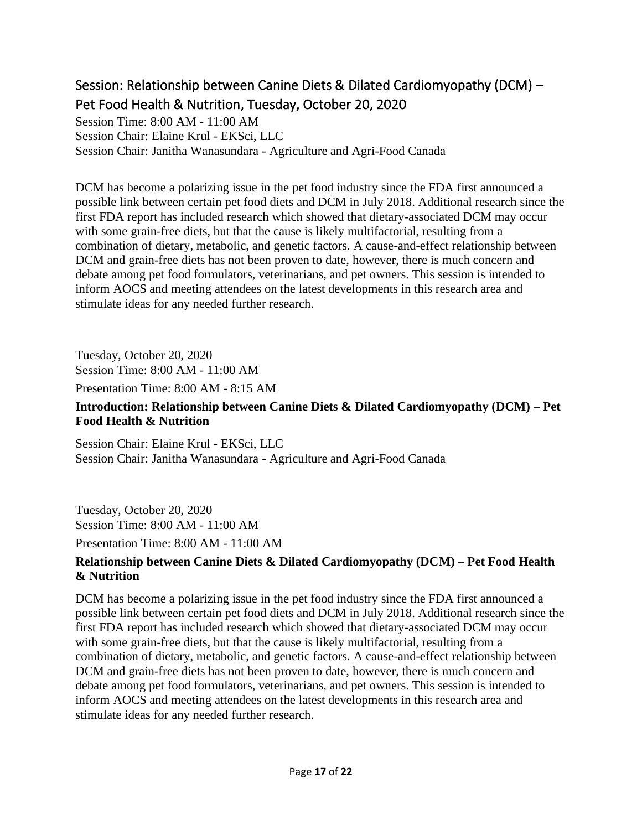# <span id="page-16-0"></span>Session: Relationship between Canine Diets & Dilated Cardiomyopathy (DCM) – Pet Food Health & Nutrition, Tuesday, October 20, 2020

Session Time: 8:00 AM - 11:00 AM Session Chair: Elaine Krul - EKSci, LLC Session Chair: Janitha Wanasundara - Agriculture and Agri-Food Canada

DCM has become a polarizing issue in the pet food industry since the FDA first announced a possible link between certain pet food diets and DCM in July 2018. Additional research since the first FDA report has included research which showed that dietary-associated DCM may occur with some grain-free diets, but that the cause is likely multifactorial, resulting from a combination of dietary, metabolic, and genetic factors. A cause-and-effect relationship between DCM and grain-free diets has not been proven to date, however, there is much concern and debate among pet food formulators, veterinarians, and pet owners. This session is intended to inform AOCS and meeting attendees on the latest developments in this research area and stimulate ideas for any needed further research.

Tuesday, October 20, 2020 Session Time: 8:00 AM - 11:00 AM

Presentation Time: 8:00 AM - 8:15 AM

#### **Introduction: Relationship between Canine Diets & Dilated Cardiomyopathy (DCM) – Pet Food Health & Nutrition**

Session Chair: Elaine Krul - EKSci, LLC Session Chair: Janitha Wanasundara - Agriculture and Agri-Food Canada

Tuesday, October 20, 2020 Session Time: 8:00 AM - 11:00 AM

Presentation Time: 8:00 AM - 11:00 AM

#### **Relationship between Canine Diets & Dilated Cardiomyopathy (DCM) – Pet Food Health & Nutrition**

DCM has become a polarizing issue in the pet food industry since the FDA first announced a possible link between certain pet food diets and DCM in July 2018. Additional research since the first FDA report has included research which showed that dietary-associated DCM may occur with some grain-free diets, but that the cause is likely multifactorial, resulting from a combination of dietary, metabolic, and genetic factors. A cause-and-effect relationship between DCM and grain-free diets has not been proven to date, however, there is much concern and debate among pet food formulators, veterinarians, and pet owners. This session is intended to inform AOCS and meeting attendees on the latest developments in this research area and stimulate ideas for any needed further research.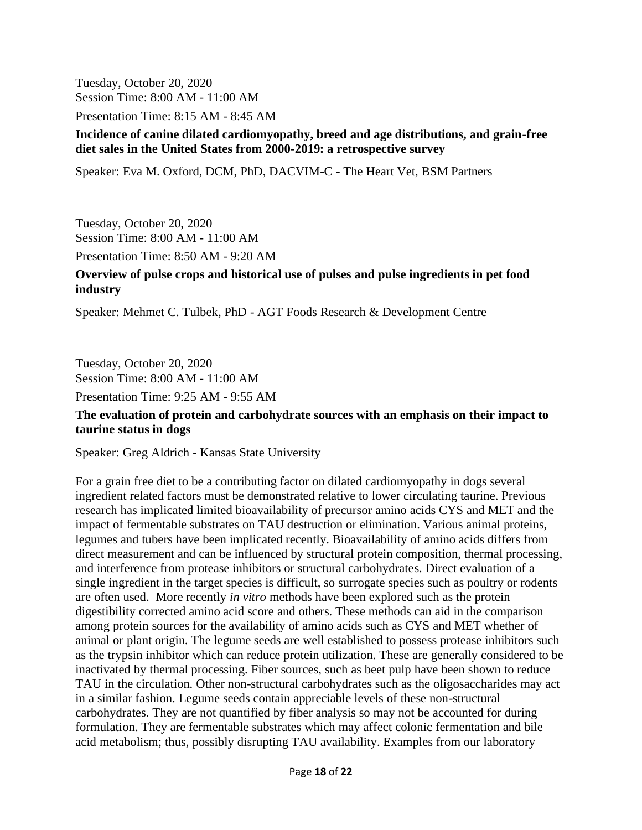Tuesday, October 20, 2020 Session Time: 8:00 AM - 11:00 AM

Presentation Time: 8:15 AM - 8:45 AM

#### **Incidence of canine dilated cardiomyopathy, breed and age distributions, and grain-free diet sales in the United States from 2000-2019: a retrospective survey**

Speaker: Eva M. Oxford, DCM, PhD, DACVIM-C - The Heart Vet, BSM Partners

Tuesday, October 20, 2020 Session Time: 8:00 AM - 11:00 AM Presentation Time: 8:50 AM - 9:20 AM

#### **Overview of pulse crops and historical use of pulses and pulse ingredients in pet food industry**

Speaker: Mehmet C. Tulbek, PhD - AGT Foods Research & Development Centre

Tuesday, October 20, 2020 Session Time: 8:00 AM - 11:00 AM

Presentation Time: 9:25 AM - 9:55 AM

#### **The evaluation of protein and carbohydrate sources with an emphasis on their impact to taurine status in dogs**

Speaker: Greg Aldrich - Kansas State University

For a grain free diet to be a contributing factor on dilated cardiomyopathy in dogs several ingredient related factors must be demonstrated relative to lower circulating taurine. Previous research has implicated limited bioavailability of precursor amino acids CYS and MET and the impact of fermentable substrates on TAU destruction or elimination. Various animal proteins, legumes and tubers have been implicated recently. Bioavailability of amino acids differs from direct measurement and can be influenced by structural protein composition, thermal processing, and interference from protease inhibitors or structural carbohydrates. Direct evaluation of a single ingredient in the target species is difficult, so surrogate species such as poultry or rodents are often used. More recently *in vitro* methods have been explored such as the protein digestibility corrected amino acid score and others. These methods can aid in the comparison among protein sources for the availability of amino acids such as CYS and MET whether of animal or plant origin. The legume seeds are well established to possess protease inhibitors such as the trypsin inhibitor which can reduce protein utilization. These are generally considered to be inactivated by thermal processing. Fiber sources, such as beet pulp have been shown to reduce TAU in the circulation. Other non-structural carbohydrates such as the oligosaccharides may act in a similar fashion. Legume seeds contain appreciable levels of these non-structural carbohydrates. They are not quantified by fiber analysis so may not be accounted for during formulation. They are fermentable substrates which may affect colonic fermentation and bile acid metabolism; thus, possibly disrupting TAU availability. Examples from our laboratory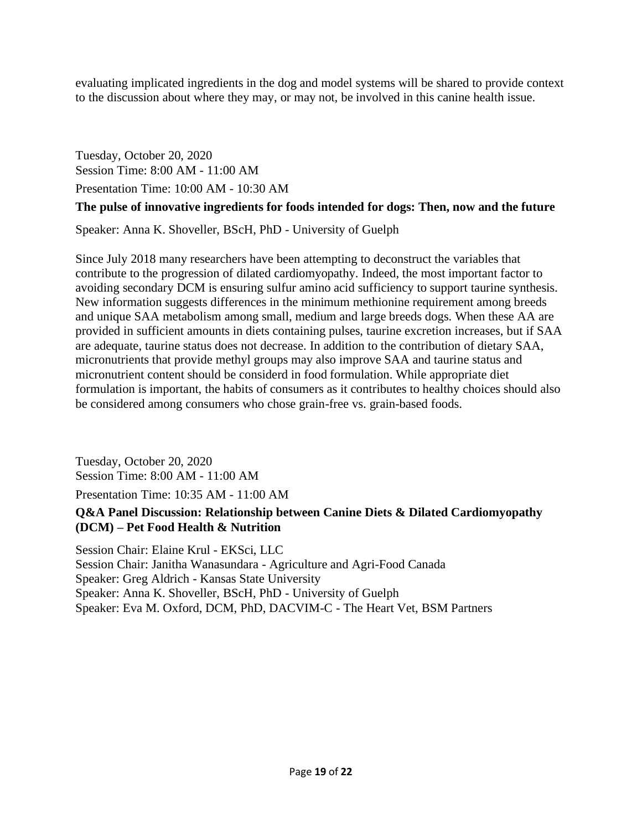evaluating implicated ingredients in the dog and model systems will be shared to provide context to the discussion about where they may, or may not, be involved in this canine health issue.

Tuesday, October 20, 2020 Session Time: 8:00 AM - 11:00 AM Presentation Time: 10:00 AM - 10:30 AM

#### **The pulse of innovative ingredients for foods intended for dogs: Then, now and the future**

Speaker: Anna K. Shoveller, BScH, PhD - University of Guelph

Since July 2018 many researchers have been attempting to deconstruct the variables that contribute to the progression of dilated cardiomyopathy. Indeed, the most important factor to avoiding secondary DCM is ensuring sulfur amino acid sufficiency to support taurine synthesis. New information suggests differences in the minimum methionine requirement among breeds and unique SAA metabolism among small, medium and large breeds dogs. When these AA are provided in sufficient amounts in diets containing pulses, taurine excretion increases, but if SAA are adequate, taurine status does not decrease. In addition to the contribution of dietary SAA, micronutrients that provide methyl groups may also improve SAA and taurine status and micronutrient content should be considerd in food formulation. While appropriate diet formulation is important, the habits of consumers as it contributes to healthy choices should also be considered among consumers who chose grain-free vs. grain-based foods.

Tuesday, October 20, 2020 Session Time: 8:00 AM - 11:00 AM Presentation Time: 10:35 AM - 11:00 AM

#### **Q&A Panel Discussion: Relationship between Canine Diets & Dilated Cardiomyopathy (DCM) – Pet Food Health & Nutrition**

Session Chair: Elaine Krul - EKSci, LLC Session Chair: Janitha Wanasundara - Agriculture and Agri-Food Canada Speaker: Greg Aldrich - Kansas State University Speaker: Anna K. Shoveller, BScH, PhD - University of Guelph Speaker: Eva M. Oxford, DCM, PhD, DACVIM-C - The Heart Vet, BSM Partners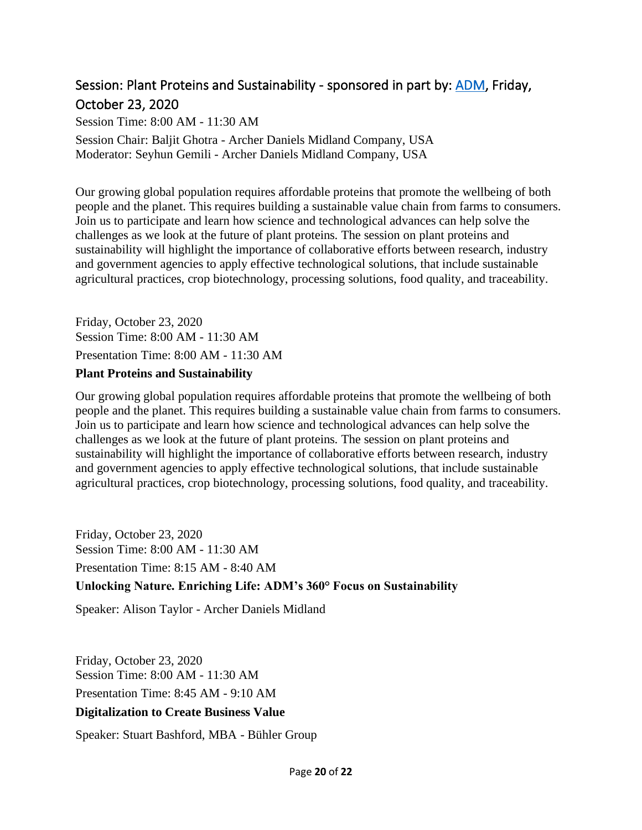### <span id="page-19-0"></span>Session: Plant Proteins and Sustainability - sponsored in part by: [ADM,](http://www.adm.com/) Friday, October 23, 2020

Session Time: 8:00 AM - 11:30 AM Session Chair: Baljit Ghotra - Archer Daniels Midland Company, USA Moderator: Seyhun Gemili - Archer Daniels Midland Company, USA

Our growing global population requires affordable proteins that promote the wellbeing of both people and the planet. This requires building a sustainable value chain from farms to consumers. Join us to participate and learn how science and technological advances can help solve the challenges as we look at the future of plant proteins. The session on plant proteins and sustainability will highlight the importance of collaborative efforts between research, industry and government agencies to apply effective technological solutions, that include sustainable agricultural practices, crop biotechnology, processing solutions, food quality, and traceability.

Friday, October 23, 2020 Session Time: 8:00 AM - 11:30 AM Presentation Time: 8:00 AM - 11:30 AM

#### **Plant Proteins and Sustainability**

Our growing global population requires affordable proteins that promote the wellbeing of both people and the planet. This requires building a sustainable value chain from farms to consumers. Join us to participate and learn how science and technological advances can help solve the challenges as we look at the future of plant proteins. The session on plant proteins and sustainability will highlight the importance of collaborative efforts between research, industry and government agencies to apply effective technological solutions, that include sustainable agricultural practices, crop biotechnology, processing solutions, food quality, and traceability.

Friday, October 23, 2020 Session Time: 8:00 AM - 11:30 AM Presentation Time: 8:15 AM - 8:40 AM **Unlocking Nature. Enriching Life: ADM's 360° Focus on Sustainability**

Speaker: Alison Taylor - Archer Daniels Midland

Friday, October 23, 2020 Session Time: 8:00 AM - 11:30 AM Presentation Time: 8:45 AM - 9:10 AM **Digitalization to Create Business Value**

Speaker: Stuart Bashford, MBA - Bühler Group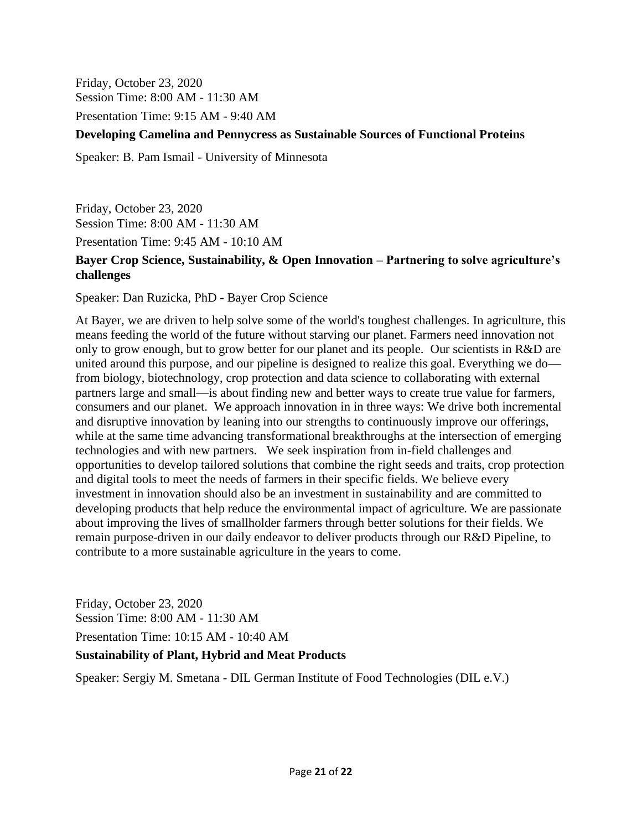Friday, October 23, 2020 Session Time: 8:00 AM - 11:30 AM

Presentation Time: 9:15 AM - 9:40 AM

#### **Developing Camelina and Pennycress as Sustainable Sources of Functional Proteins**

Speaker: B. Pam Ismail - University of Minnesota

Friday, October 23, 2020 Session Time: 8:00 AM - 11:30 AM Presentation Time: 9:45 AM - 10:10 AM

#### **Bayer Crop Science, Sustainability, & Open Innovation – Partnering to solve agriculture's challenges**

Speaker: Dan Ruzicka, PhD - Bayer Crop Science

At Bayer, we are driven to help solve some of the world's toughest challenges. In agriculture, this means feeding the world of the future without starving our planet. Farmers need innovation not only to grow enough, but to grow better for our planet and its people. Our scientists in R&D are united around this purpose, and our pipeline is designed to realize this goal. Everything we do from biology, biotechnology, crop protection and data science to collaborating with external partners large and small—is about finding new and better ways to create true value for farmers, consumers and our planet. We approach innovation in in three ways: We drive both incremental and disruptive innovation by leaning into our strengths to continuously improve our offerings, while at the same time advancing transformational breakthroughs at the intersection of emerging technologies and with new partners. We seek inspiration from in-field challenges and opportunities to develop tailored solutions that combine the right seeds and traits, crop protection and digital tools to meet the needs of farmers in their specific fields. We believe every investment in innovation should also be an investment in sustainability and are committed to developing products that help reduce the environmental impact of agriculture. We are passionate about improving the lives of smallholder farmers through better solutions for their fields. We remain purpose-driven in our daily endeavor to deliver products through our R&D Pipeline, to contribute to a more sustainable agriculture in the years to come.

Friday, October 23, 2020 Session Time: 8:00 AM - 11:30 AM Presentation Time: 10:15 AM - 10:40 AM

#### **Sustainability of Plant, Hybrid and Meat Products**

Speaker: Sergiy M. Smetana - DIL German Institute of Food Technologies (DIL e.V.)